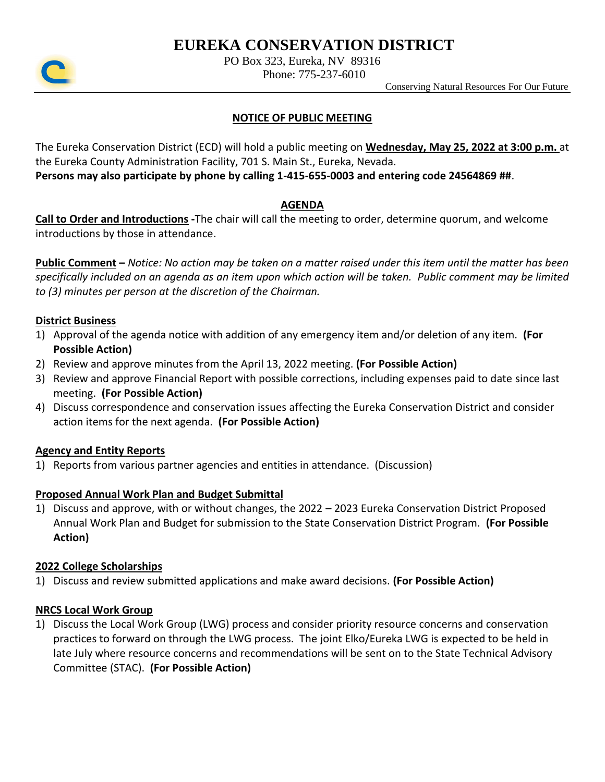# **EUREKA CONSERVATION DISTRICT**



PO Box 323, Eureka, NV 89316

Phone: 775-237-6010

Conserving Natural Resources For Our Future

### **NOTICE OF PUBLIC MEETING**

The Eureka Conservation District (ECD) will hold a public meeting on **Wednesday, May 25, 2022 at 3:00 p.m.** at the Eureka County Administration Facility, 701 S. Main St., Eureka, Nevada.

**Persons may also participate by phone by calling 1-415-655-0003 and entering code 24564869 ##**.

#### **AGENDA**

**Call to Order and Introductions -**The chair will call the meeting to order, determine quorum, and welcome introductions by those in attendance.

**Public Comment –** *Notice: No action may be taken on a matter raised under this item until the matter has been specifically included on an agenda as an item upon which action will be taken. Public comment may be limited to (3) minutes per person at the discretion of the Chairman.*

#### **District Business**

- 1) Approval of the agenda notice with addition of any emergency item and/or deletion of any item. **(For Possible Action)**
- 2) Review and approve minutes from the April 13, 2022 meeting. **(For Possible Action)**
- 3) Review and approve Financial Report with possible corrections, including expenses paid to date since last meeting. **(For Possible Action)**
- 4) Discuss correspondence and conservation issues affecting the Eureka Conservation District and consider action items for the next agenda. **(For Possible Action)**

#### **Agency and Entity Reports**

1) Reports from various partner agencies and entities in attendance. (Discussion)

# **Proposed Annual Work Plan and Budget Submittal**

1) Discuss and approve, with or without changes, the 2022 – 2023 Eureka Conservation District Proposed Annual Work Plan and Budget for submission to the State Conservation District Program. **(For Possible Action)**

#### **2022 College Scholarships**

1) Discuss and review submitted applications and make award decisions. **(For Possible Action)**

#### **NRCS Local Work Group**

1) Discuss the Local Work Group (LWG) process and consider priority resource concerns and conservation practices to forward on through the LWG process. The joint Elko/Eureka LWG is expected to be held in late July where resource concerns and recommendations will be sent on to the State Technical Advisory Committee (STAC). **(For Possible Action)**